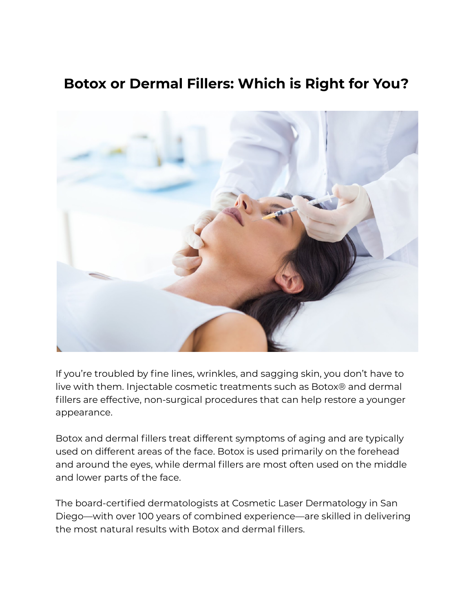# **Botox or Dermal Fillers: Which is Right for You?**



If you're troubled by fine lines, wrinkles, and sagging skin, you don't have to live with them. Injectable cosmetic treatments such as Botox® and dermal fillers are effective, non-surgical procedures that can help restore a younger appearance.

Botox and dermal fillers treat different symptoms of aging and are typically used on different areas of the face. Botox is used primarily on the forehead and around the eyes, while dermal fillers are most often used on the middle and lower parts of the face.

The board-certified dermatologists at Cosmetic Laser Dermatology in San Diego—with over 100 years of combined experience—are skilled in delivering the most natural results with Botox and dermal fillers.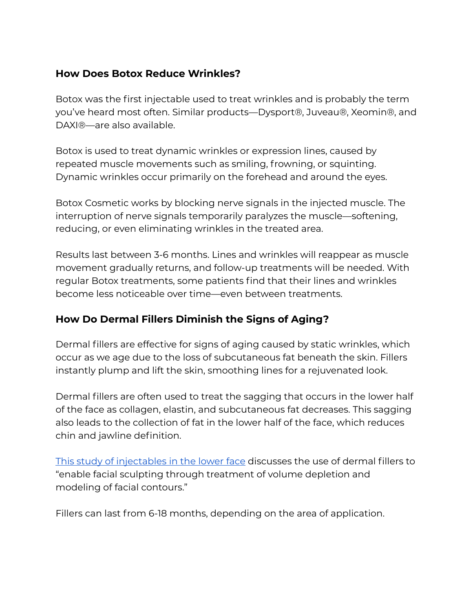## **How Does Botox Reduce Wrinkles?**

Botox was the first injectable used to treat wrinkles and is probably the term you've heard most often. Similar products—Dysport®, Juveau®, Xeomin®, and DAXI®—are also available.

Botox is used to treat dynamic wrinkles or expression lines, caused by repeated muscle movements such as smiling, frowning, or squinting. Dynamic wrinkles occur primarily on the forehead and around the eyes.

Botox Cosmetic works by blocking nerve signals in the injected muscle. The interruption of nerve signals temporarily paralyzes the muscle—softening, reducing, or even eliminating wrinkles in the treated area.

Results last between 3-6 months. Lines and wrinkles will reappear as muscle movement gradually returns, and follow-up treatments will be needed. With regular Botox treatments, some patients find that their lines and wrinkles become less noticeable over time—even between treatments.

## **How Do Dermal Fillers Diminish the Signs of Aging?**

Dermal fillers are effective for signs of aging caused by static wrinkles, which occur as we age due to the loss of subcutaneous fat beneath the skin. Fillers instantly plump and lift the skin, smoothing lines for a rejuvenated look.

Dermal fillers are often used to treat the sagging that occurs in the lower half of the face as collagen, elastin, and subcutaneous fat decreases. This sagging also leads to the collection of fat in the lower half of the face, which reduces chin and jawline definition.

This study of [injectables](https://pubmed.ncbi.nlm.nih.gov/26441104/) in the lower face discusses the use of dermal fillers to "enable facial sculpting through treatment of volume depletion and modeling of facial contours."

Fillers can last from 6-18 months, depending on the area of application.